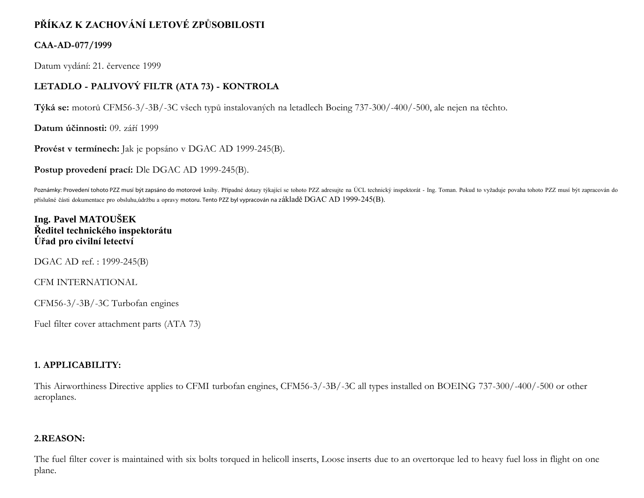# **PŘÍKAZ K ZACHOVÁNÍ LETOVÉ ZPŮSOBILOSTI**

### **CAA-AD-077/1999**

Datum vydání: 21. července 1999

## **LETADLO - PALIVOVÝ FILTR (ATA 73) - KONTROLA**

**Týká se:** motorů CFM56-3/-3B/-3C všech typů instalovaných na letadlech Boeing 737-300/-400/-500, ale nejen na těchto.

**Datum účinnosti:** 09. září 1999

**Provést v termínech:** Jak je popsáno v DGAC AD 1999-245(B).

**Postup provedení prací:** Dle DGAC AD 1999-245(B).

Poznámky: Provedení tohoto PZZ musí být zapsáno do motorové knihy. Případné dotazy týkající se tohoto PZZ adresujte na ÚCL technický inspektorát - Ing. Toman. Pokud to vyžaduje povaha tohoto PZZ musí být zapracován do příslušné části dokumentace pro obsluhu,údržbu a opravy motoru. Tento PZZ byl vypracován na základě DGAC AD 1999-245(B).

## **Ing. Pavel MATOUŠEK Ředitel technického inspektorátu Úřad pro civilní letectví**

DGAC AD ref. : 1999-245(B)

CFM INTERNATIONAL

CFM56-3/-3B/-3C Turbofan engines

Fuel filter cover attachment parts (ATA 73)

#### **1. APPLICABILITY:**

This Airworthiness Directive applies to CFMI turbofan engines, CFM56-3/-3B/-3C all types installed on BOEING 737-300/-400/-500 or other aeroplanes.

#### **2.REASON:**

The fuel filter cover is maintained with six bolts torqued in helicoll inserts, Loose inserts due to an overtorque led to heavy fuel loss in flight on one plane.